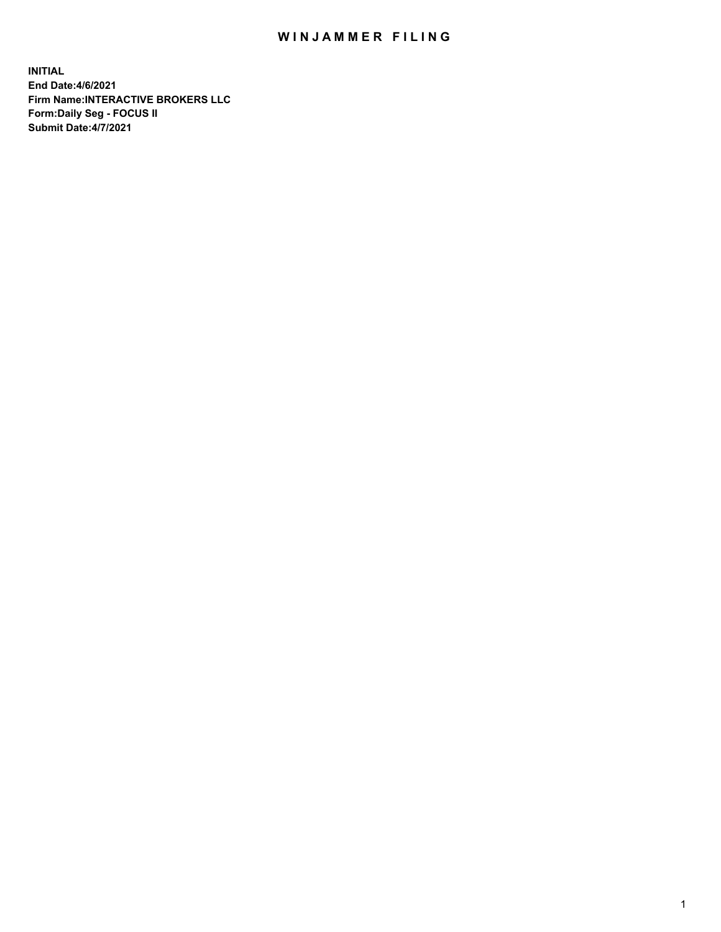## WIN JAMMER FILING

**INITIAL End Date:4/6/2021 Firm Name:INTERACTIVE BROKERS LLC Form:Daily Seg - FOCUS II Submit Date:4/7/2021**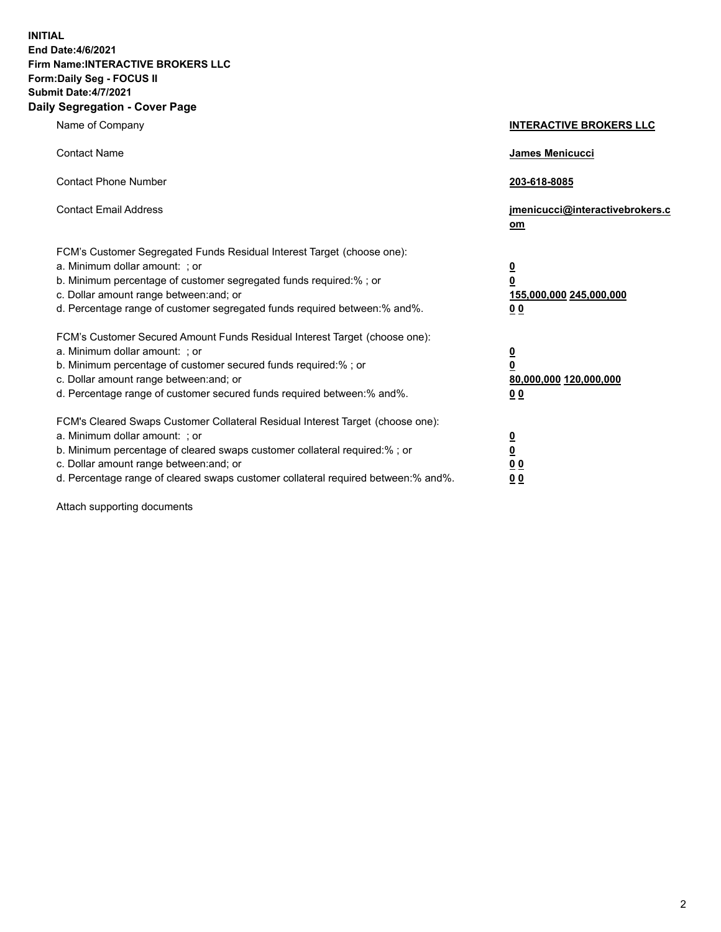**INITIAL End Date:4/6/2021 Firm Name:INTERACTIVE BROKERS LLC Form:Daily Seg - FOCUS II Submit Date:4/7/2021 Daily Segregation - Cover Page**

| Name of Company                                                                                                                                                                                                                                                                                                                | <b>INTERACTIVE BROKERS LLC</b>                                                                  |
|--------------------------------------------------------------------------------------------------------------------------------------------------------------------------------------------------------------------------------------------------------------------------------------------------------------------------------|-------------------------------------------------------------------------------------------------|
| <b>Contact Name</b>                                                                                                                                                                                                                                                                                                            | James Menicucci                                                                                 |
| <b>Contact Phone Number</b>                                                                                                                                                                                                                                                                                                    | 203-618-8085                                                                                    |
| <b>Contact Email Address</b>                                                                                                                                                                                                                                                                                                   | jmenicucci@interactivebrokers.c<br>om                                                           |
| FCM's Customer Segregated Funds Residual Interest Target (choose one):<br>a. Minimum dollar amount: ; or<br>b. Minimum percentage of customer segregated funds required:%; or<br>c. Dollar amount range between: and; or<br>d. Percentage range of customer segregated funds required between:% and%.                          | $\overline{\mathbf{0}}$<br>$\overline{\mathbf{0}}$<br>155,000,000 245,000,000<br>0 <sub>0</sub> |
| FCM's Customer Secured Amount Funds Residual Interest Target (choose one):<br>a. Minimum dollar amount: ; or<br>b. Minimum percentage of customer secured funds required:% ; or<br>c. Dollar amount range between: and; or<br>d. Percentage range of customer secured funds required between:% and%.                           | $\frac{0}{0}$<br>80,000,000 120,000,000<br>0 <sub>0</sub>                                       |
| FCM's Cleared Swaps Customer Collateral Residual Interest Target (choose one):<br>a. Minimum dollar amount: ; or<br>b. Minimum percentage of cleared swaps customer collateral required:% ; or<br>c. Dollar amount range between: and; or<br>d. Percentage range of cleared swaps customer collateral required between:% and%. | $\frac{0}{0}$<br>0 <sub>0</sub><br>0 <sub>0</sub>                                               |

Attach supporting documents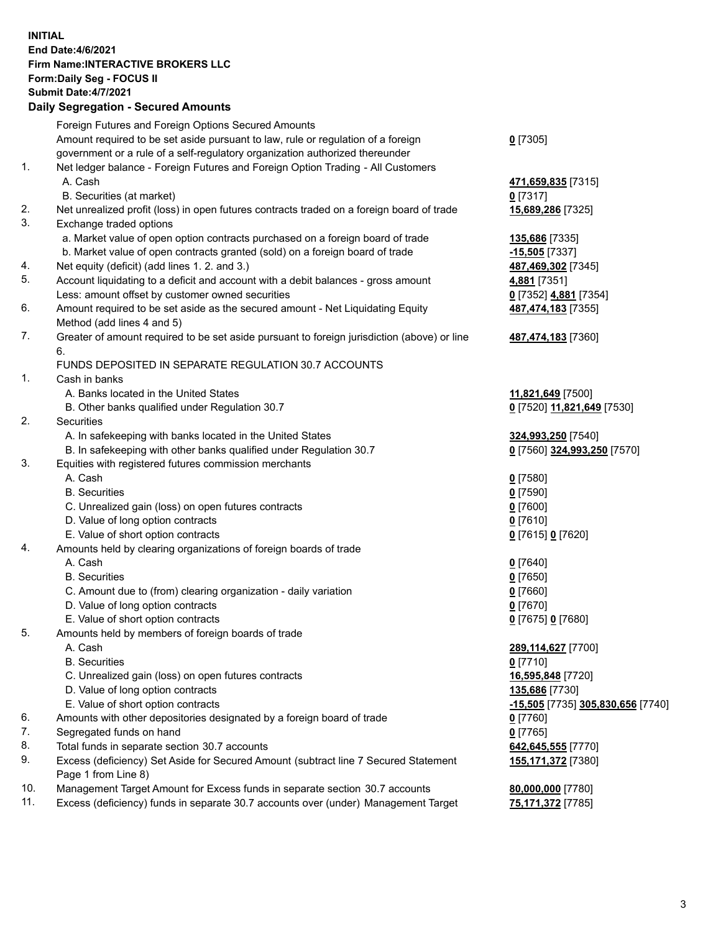## **INITIAL End Date:4/6/2021 Firm Name:INTERACTIVE BROKERS LLC Form:Daily Seg - FOCUS II Submit Date:4/7/2021 Daily Segregation - Secured Amounts**

|     | 2011, Ocgi ogation - Oceaned Anioania                                                                      |                                   |
|-----|------------------------------------------------------------------------------------------------------------|-----------------------------------|
|     | Foreign Futures and Foreign Options Secured Amounts                                                        |                                   |
|     | Amount required to be set aside pursuant to law, rule or regulation of a foreign                           | $0$ [7305]                        |
|     | government or a rule of a self-regulatory organization authorized thereunder                               |                                   |
| 1.  | Net ledger balance - Foreign Futures and Foreign Option Trading - All Customers                            |                                   |
|     | A. Cash                                                                                                    | 471,659,835 [7315]                |
|     | B. Securities (at market)                                                                                  | $0$ [7317]                        |
| 2.  | Net unrealized profit (loss) in open futures contracts traded on a foreign board of trade                  | 15,689,286 [7325]                 |
| 3.  | Exchange traded options                                                                                    |                                   |
|     | a. Market value of open option contracts purchased on a foreign board of trade                             | 135,686 [7335]                    |
|     | b. Market value of open contracts granted (sold) on a foreign board of trade                               | $-15,505$ [7337]                  |
| 4.  | Net equity (deficit) (add lines 1. 2. and 3.)                                                              | 487,469,302 [7345]                |
| 5.  | Account liquidating to a deficit and account with a debit balances - gross amount                          | 4,881 [7351]                      |
|     | Less: amount offset by customer owned securities                                                           | 0 [7352] 4,881 [7354]             |
| 6.  | Amount required to be set aside as the secured amount - Net Liquidating Equity                             | 487,474,183 [7355]                |
|     | Method (add lines 4 and 5)                                                                                 |                                   |
| 7.  | Greater of amount required to be set aside pursuant to foreign jurisdiction (above) or line                | 487,474,183 [7360]                |
|     | 6.                                                                                                         |                                   |
|     | FUNDS DEPOSITED IN SEPARATE REGULATION 30.7 ACCOUNTS                                                       |                                   |
| 1.  | Cash in banks                                                                                              |                                   |
|     | A. Banks located in the United States                                                                      | 11,821,649 [7500]                 |
|     | B. Other banks qualified under Regulation 30.7                                                             | 0 [7520] 11,821,649 [7530]        |
| 2.  | Securities                                                                                                 |                                   |
|     | A. In safekeeping with banks located in the United States                                                  | 324,993,250 [7540]                |
|     | B. In safekeeping with other banks qualified under Regulation 30.7                                         | 0 [7560] 324,993,250 [7570]       |
| 3.  | Equities with registered futures commission merchants                                                      |                                   |
|     | A. Cash                                                                                                    | $0$ [7580]                        |
|     | <b>B.</b> Securities                                                                                       | $0$ [7590]                        |
|     | C. Unrealized gain (loss) on open futures contracts                                                        | $0$ [7600]                        |
|     | D. Value of long option contracts                                                                          | $0$ [7610]                        |
|     | E. Value of short option contracts                                                                         | 0 [7615] 0 [7620]                 |
| 4.  | Amounts held by clearing organizations of foreign boards of trade                                          |                                   |
|     | A. Cash                                                                                                    | $0$ [7640]                        |
|     | <b>B.</b> Securities                                                                                       | $0$ [7650]                        |
|     | C. Amount due to (from) clearing organization - daily variation                                            | $0$ [7660]                        |
|     | D. Value of long option contracts                                                                          | $0$ [7670]                        |
|     | E. Value of short option contracts                                                                         | 0 [7675] 0 [7680]                 |
| 5.  | Amounts held by members of foreign boards of trade                                                         |                                   |
|     | A. Cash                                                                                                    | 289,114,627 [7700]                |
|     | <b>B.</b> Securities                                                                                       | $0$ [7710]                        |
|     | C. Unrealized gain (loss) on open futures contracts                                                        | 16,595,848 [7720]                 |
|     | D. Value of long option contracts                                                                          | 135,686 [7730]                    |
|     | E. Value of short option contracts                                                                         | -15,505 [7735] 305,830,656 [7740] |
| 6.  | Amounts with other depositories designated by a foreign board of trade                                     | $0$ [7760]                        |
| 7.  | Segregated funds on hand                                                                                   | $0$ [7765]                        |
| 8.  | Total funds in separate section 30.7 accounts                                                              | 642,645,555 [7770]                |
| 9.  | Excess (deficiency) Set Aside for Secured Amount (subtract line 7 Secured Statement<br>Page 1 from Line 8) | 155,171,372 [7380]                |
| 10. | Management Target Amount for Excess funds in separate section 30.7 accounts                                | 80,000,000 [7780]                 |
| 11. | Excess (deficiency) funds in separate 30.7 accounts over (under) Management Target                         | 75,171,372 [7785]                 |
|     |                                                                                                            |                                   |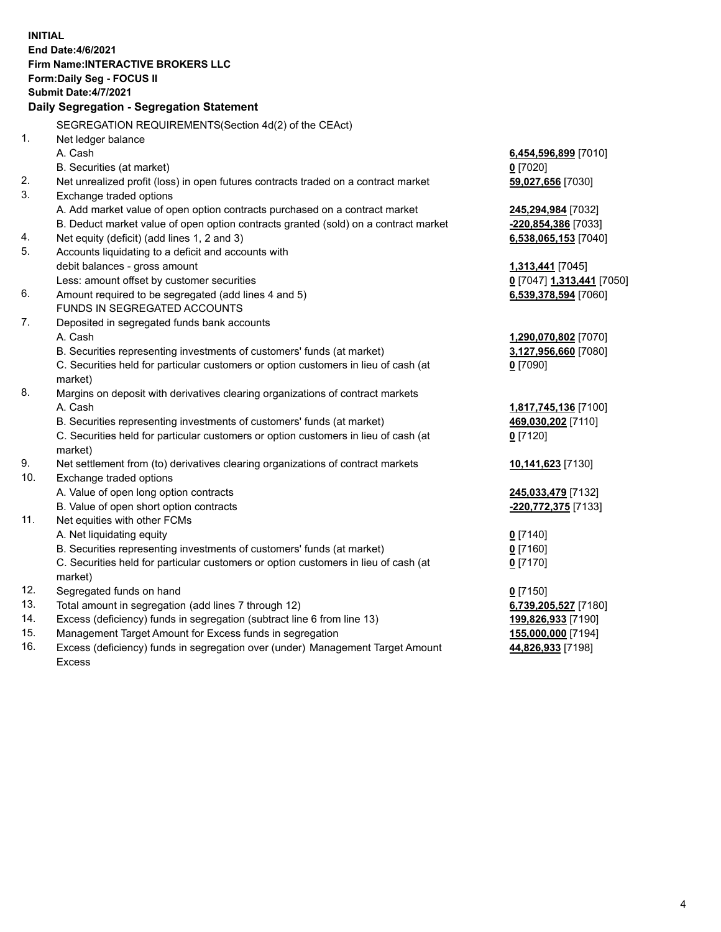**INITIAL End Date:4/6/2021 Firm Name:INTERACTIVE BROKERS LLC Form:Daily Seg - FOCUS II Submit Date:4/7/2021 Daily Segregation - Segregation Statement** SEGREGATION REQUIREMENTS(Section 4d(2) of the CEAct) 1. Net ledger balance A. Cash **6,454,596,899** [7010] B. Securities (at market) **0** [7020] 2. Net unrealized profit (loss) in open futures contracts traded on a contract market **59,027,656** [7030] 3. Exchange traded options A. Add market value of open option contracts purchased on a contract market **245,294,984** [7032] B. Deduct market value of open option contracts granted (sold) on a contract market **-220,854,386** [7033] 4. Net equity (deficit) (add lines 1, 2 and 3) **6,538,065,153** [7040] 5. Accounts liquidating to a deficit and accounts with debit balances - gross amount **1,313,441** [7045] Less: amount offset by customer securities **0** [7047] **1,313,441** [7050] 6. Amount required to be segregated (add lines 4 and 5) **6,539,378,594** [7060] FUNDS IN SEGREGATED ACCOUNTS 7. Deposited in segregated funds bank accounts A. Cash **1,290,070,802** [7070] B. Securities representing investments of customers' funds (at market) **3,127,956,660** [7080] C. Securities held for particular customers or option customers in lieu of cash (at market) **0** [7090] 8. Margins on deposit with derivatives clearing organizations of contract markets A. Cash **1,817,745,136** [7100] B. Securities representing investments of customers' funds (at market) **469,030,202** [7110] C. Securities held for particular customers or option customers in lieu of cash (at market) **0** [7120] 9. Net settlement from (to) derivatives clearing organizations of contract markets **10,141,623** [7130] 10. Exchange traded options A. Value of open long option contracts **245,033,479** [7132] B. Value of open short option contracts **-220,772,375** [7133] 11. Net equities with other FCMs A. Net liquidating equity **0** [7140] B. Securities representing investments of customers' funds (at market) **0** [7160] C. Securities held for particular customers or option customers in lieu of cash (at market) **0** [7170] 12. Segregated funds on hand **0** [7150] 13. Total amount in segregation (add lines 7 through 12) **6,739,205,527** [7180] 14. Excess (deficiency) funds in segregation (subtract line 6 from line 13) **199,826,933** [7190] 15. Management Target Amount for Excess funds in segregation **155,000,000** [7194]

16. Excess (deficiency) funds in segregation over (under) Management Target Amount Excess

**44,826,933** [7198]